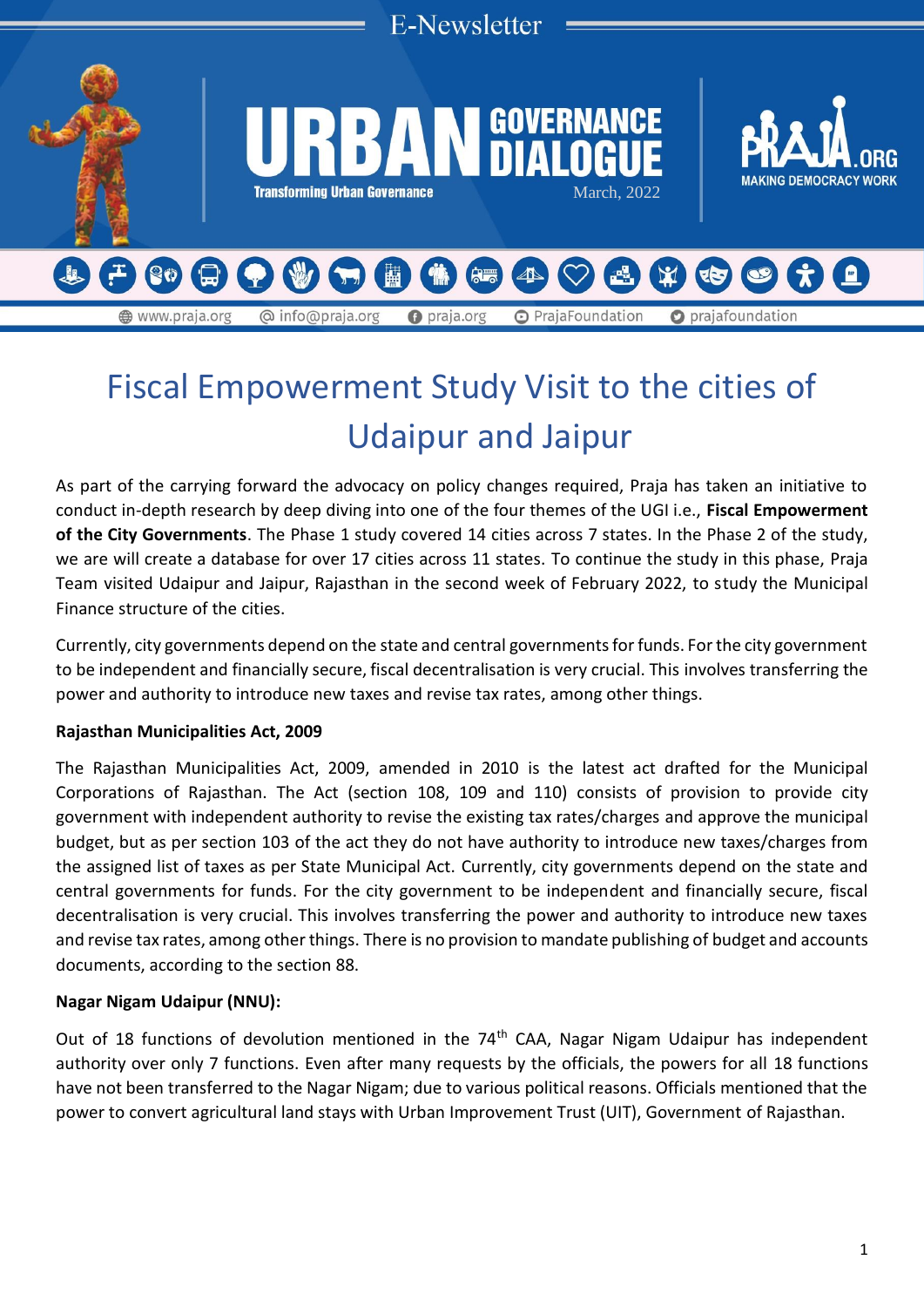

# Fiscal Empowerment Study Visit to the cities of Udaipur and Jaipur

As part of the carrying forward the advocacy on policy changes required, Praja has taken an initiative to conduct in-depth research by deep diving into one of the four themes of the UGI i.e., **Fiscal Empowerment of the City Governments**. The Phase 1 study covered 14 cities across 7 states. In the Phase 2 of the study, we are will create a database for over 17 cities across 11 states. To continue the study in this phase, Praja Team visited Udaipur and Jaipur, Rajasthan in the second week of February 2022, to study the Municipal Finance structure of the cities.

Currently, city governments depend on the state and central governments for funds. For the city government to be independent and financially secure, fiscal decentralisation is very crucial. This involves transferring the power and authority to introduce new taxes and revise tax rates, among other things.

# **Rajasthan Municipalities Act, 2009**

The Rajasthan Municipalities Act, 2009, amended in 2010 is the latest act drafted for the Municipal Corporations of Rajasthan. The Act (section 108, 109 and 110) consists of provision to provide city government with independent authority to revise the existing tax rates/charges and approve the municipal budget, but as per section 103 of the act they do not have authority to introduce new taxes/charges from the assigned list of taxes as per State Municipal Act. Currently, city governments depend on the state and central governments for funds. For the city government to be independent and financially secure, fiscal decentralisation is very crucial. This involves transferring the power and authority to introduce new taxes and revise tax rates, among other things. There is no provision to mandate publishing of budget and accounts documents, according to the section 88.

# **Nagar Nigam Udaipur (NNU):**

Out of 18 functions of devolution mentioned in the 74<sup>th</sup> CAA, Nagar Nigam Udaipur has independent authority over only 7 functions. Even after many requests by the officials, the powers for all 18 functions have not been transferred to the Nagar Nigam; due to various political reasons. Officials mentioned that the power to convert agricultural land stays with Urban Improvement Trust (UIT), Government of Rajasthan.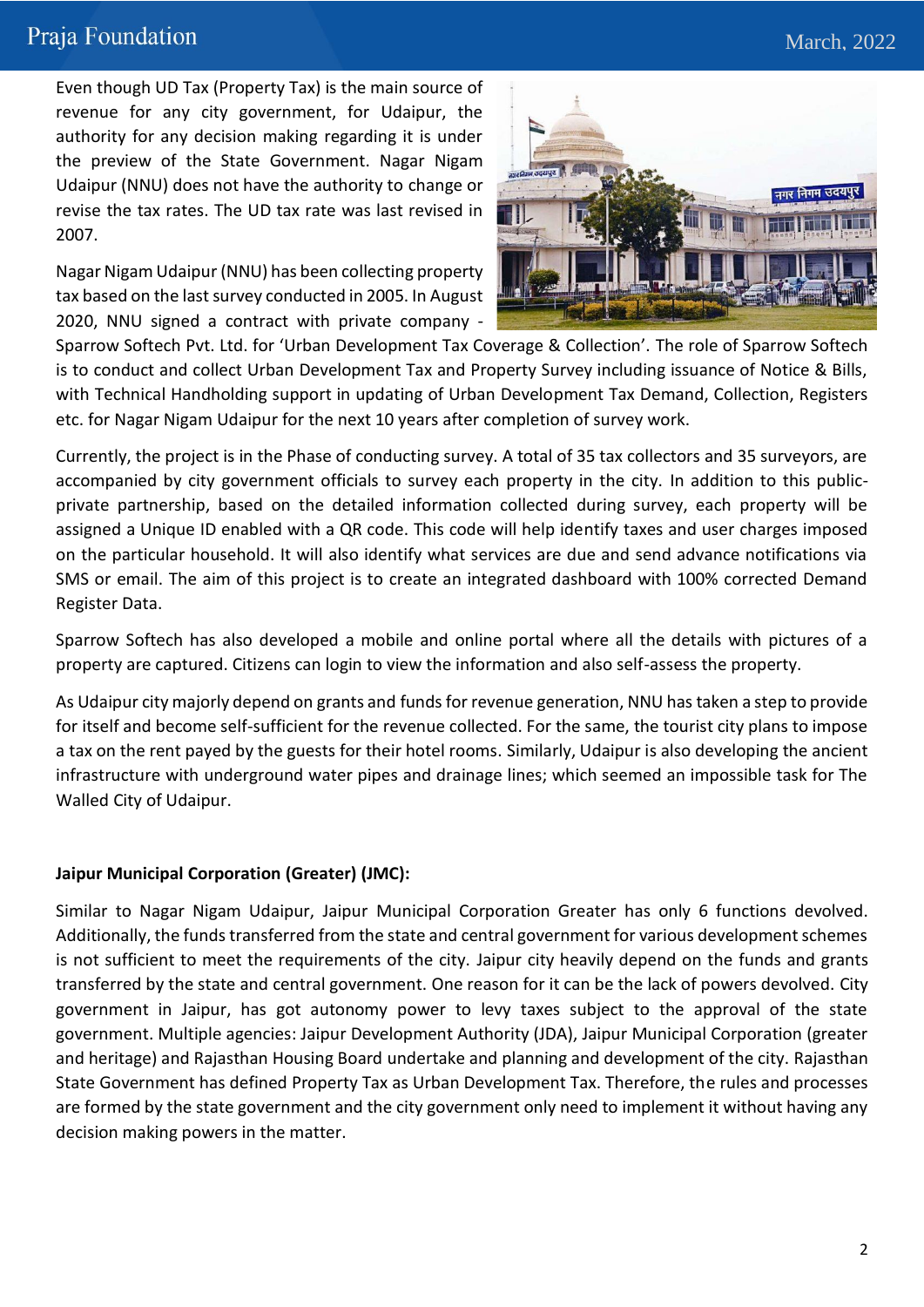# Praja Foundation

Even though UD Tax (Property Tax) is the main source of revenue for any city government, for Udaipur, the authority for any decision making regarding it is under the preview of the State Government. Nagar Nigam Udaipur (NNU) does not have the authority to change or revise the tax rates. The UD tax rate was last revised in 2007.

Nagar Nigam Udaipur (NNU) has been collecting property tax based on the last survey conducted in 2005. In August 2020, NNU signed a contract with private company -



Sparrow Softech Pvt. Ltd. for 'Urban Development Tax Coverage & Collection'. The role of Sparrow Softech is to conduct and collect Urban Development Tax and Property Survey including issuance of Notice & Bills, with Technical Handholding support in updating of Urban Development Tax Demand, Collection, Registers etc. for Nagar Nigam Udaipur for the next 10 years after completion of survey work.

Currently, the project is in the Phase of conducting survey. A total of 35 tax collectors and 35 surveyors, are accompanied by city government officials to survey each property in the city. In addition to this publicprivate partnership, based on the detailed information collected during survey, each property will be assigned a Unique ID enabled with a QR code. This code will help identify taxes and user charges imposed on the particular household. It will also identify what services are due and send advance notifications via SMS or email. The aim of this project is to create an integrated dashboard with 100% corrected Demand Register Data.

Sparrow Softech has also developed a mobile and online portal where all the details with pictures of a property are captured. Citizens can login to view the information and also self-assess the property.

As Udaipur city majorly depend on grants and funds for revenue generation, NNU has taken a step to provide for itself and become self-sufficient for the revenue collected. For the same, the tourist city plans to impose a tax on the rent payed by the guests for their hotel rooms. Similarly, Udaipur is also developing the ancient infrastructure with underground water pipes and drainage lines; which seemed an impossible task for The Walled City of Udaipur.

# **Jaipur Municipal Corporation (Greater) (JMC):**

Similar to Nagar Nigam Udaipur, Jaipur Municipal Corporation Greater has only 6 functions devolved. Additionally, the funds transferred from the state and central government for various development schemes is not sufficient to meet the requirements of the city. Jaipur city heavily depend on the funds and grants transferred by the state and central government. One reason for it can be the lack of powers devolved. City government in Jaipur, has got autonomy power to levy taxes subject to the approval of the state government. Multiple agencies: Jaipur Development Authority (JDA), Jaipur Municipal Corporation (greater and heritage) and Rajasthan Housing Board undertake and planning and development of the city. Rajasthan State Government has defined Property Tax as Urban Development Tax. Therefore, the rules and processes are formed by the state government and the city government only need to implement it without having any decision making powers in the matter.